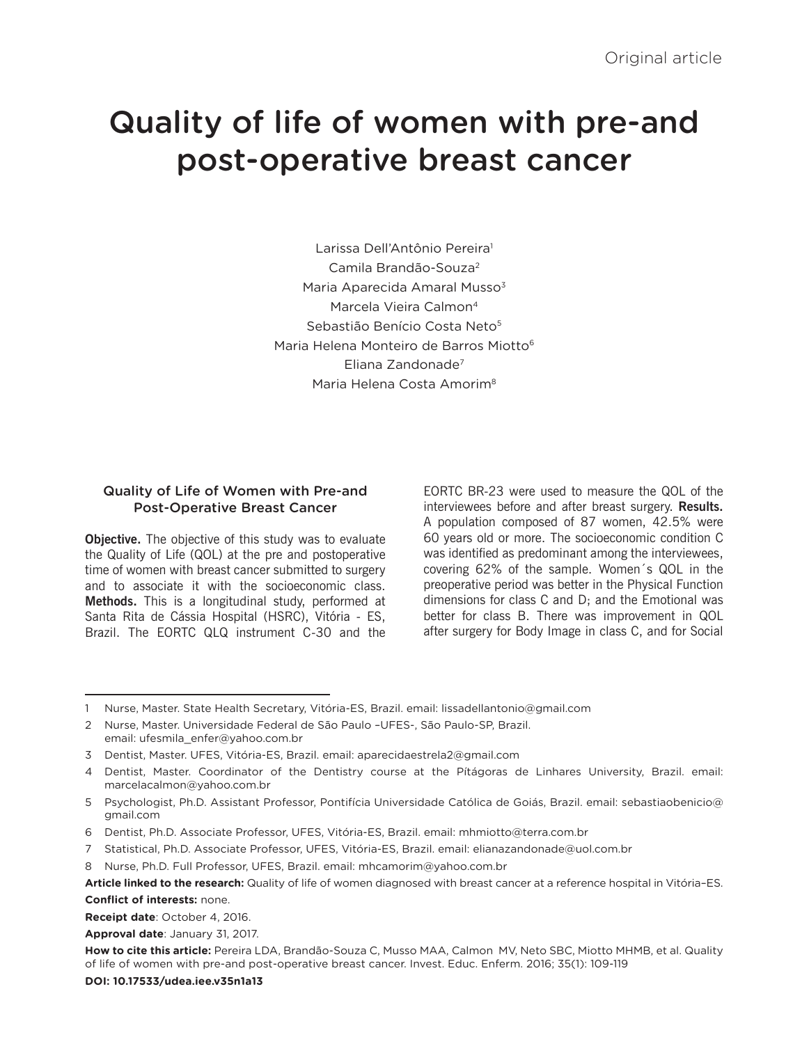# Quality of life of women with pre-and post-operative breast cancer

Larissa Dell'Antônio Pereira1 Camila Brandão-Souza2 Maria Aparecida Amaral Musso<sup>3</sup> Marcela Vieira Calmon4 Sebastião Benício Costa Neto<sup>5</sup> Maria Helena Monteiro de Barros Miotto<sup>6</sup> Eliana Zandonade7 Maria Helena Costa Amorim8

#### Quality of Life of Women with Pre-and Post-Operative Breast Cancer

**Objective.** The objective of this study was to evaluate the Quality of Life (QOL) at the pre and postoperative time of women with breast cancer submitted to surgery and to associate it with the socioeconomic class. **Methods.** This is a longitudinal study, performed at Santa Rita de Cássia Hospital (HSRC), Vitória - ES, Brazil. The EORTC QLQ instrument C-30 and the EORTC BR-23 were used to measure the QOL of the interviewees before and after breast surgery. **Results.** A population composed of 87 women, 42.5% were 60 years old or more. The socioeconomic condition C was identified as predominant among the interviewees, covering 62% of the sample. Women´s QOL in the preoperative period was better in the Physical Function dimensions for class C and D; and the Emotional was better for class B. There was improvement in QOL after surgery for Body Image in class C, and for Social

- 7 Statistical, Ph.D. Associate Professor, UFES, Vitória-ES, Brazil. email: elianazandonade@uol.com.br
- 8 Nurse, Ph.D. Full Professor, UFES, Brazil. email: mhcamorim@yahoo.com.br

**Receipt date**: October 4, 2016.

<sup>1</sup> Nurse, Master. State Health Secretary, Vitória-ES, Brazil. email: lissadellantonio@gmail.com

<sup>2</sup> Nurse, Master. Universidade Federal de São Paulo –UFES-, São Paulo-SP, Brazil. email: ufesmila\_enfer@yahoo.com.br

<sup>3</sup> Dentist, Master. UFES, Vitória-ES, Brazil. email: aparecidaestrela2@gmail.com

<sup>4</sup> Dentist, Master. Coordinator of the Dentistry course at the Pítágoras de Linhares University, Brazil. email: marcelacalmon@yahoo.com.br

<sup>5</sup> Psychologist, Ph.D. Assistant Professor, Pontifícia Universidade Católica de Goiás, Brazil. email: sebastiaobenicio@ gmail.com

<sup>6</sup> Dentist, Ph.D. Associate Professor, UFES, Vitória-ES, Brazil. email: mhmiotto@terra.com.br

**Article linked to the research:** Quality of life of women diagnosed with breast cancer at a reference hospital in Vitória–ES. **Conflict of interests:** none.

**Approval date**: January 31, 2017.

**How to cite this article:** Pereira LDA, Brandão-Souza C, Musso MAA, Calmon MV, Neto SBC, Miotto MHMB, et al. Quality of life of women with pre-and post-operative breast cancer. Invest. Educ. Enferm. 2016; 35(1): 109-119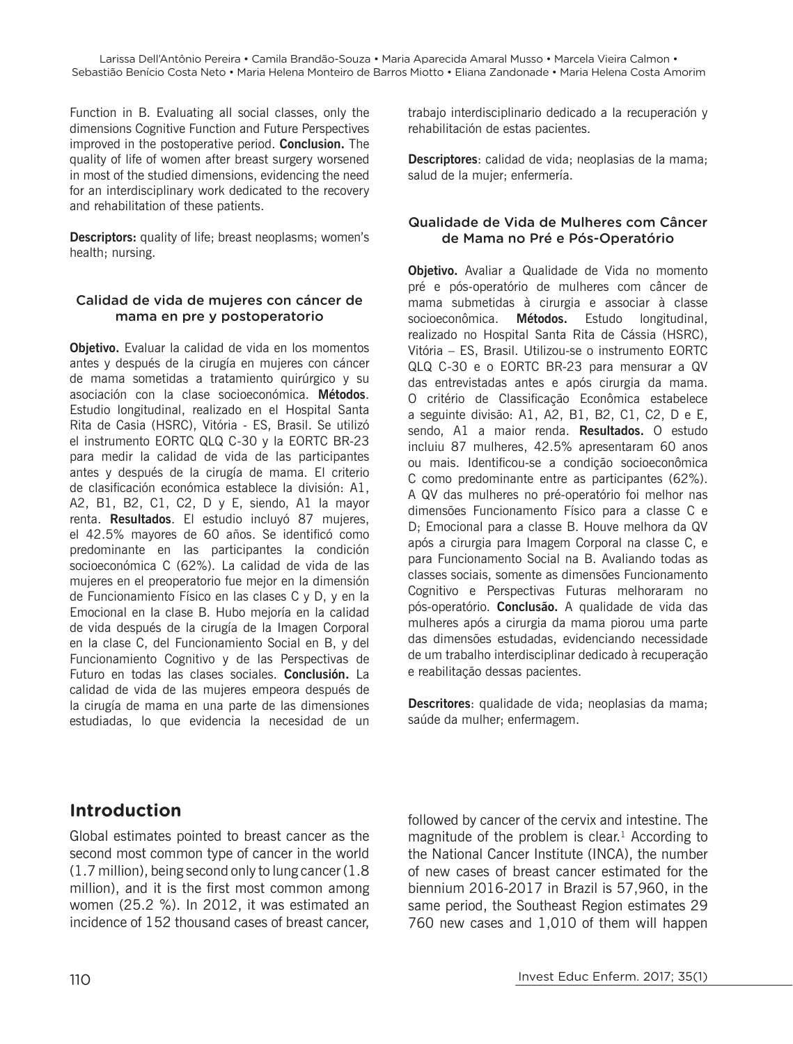Function in B. Evaluating all social classes, only the dimensions Cognitive Function and Future Perspectives improved in the postoperative period. **Conclusion.** The quality of life of women after breast surgery worsened in most of the studied dimensions, evidencing the need for an interdisciplinary work dedicated to the recovery and rehabilitation of these patients.

**Descriptors:** quality of life; breast neoplasms; women's health; nursing.

#### Calidad de vida de mujeres con cáncer de mama en pre y postoperatorio

**Objetivo.** Evaluar la calidad de vida en los momentos antes y después de la cirugía en mujeres con cáncer de mama sometidas a tratamiento quirúrgico y su asociación con la clase socioeconómica. **Métodos**. Estudio longitudinal, realizado en el Hospital Santa Rita de Casia (HSRC), Vitória - ES, Brasil. Se utilizó el instrumento EORTC QLQ C-30 y la EORTC BR-23 para medir la calidad de vida de las participantes antes y después de la cirugía de mama. El criterio de clasificación económica establece la división: A1, A2, B1, B2, C1, C2, D y E, siendo, A1 la mayor renta. **Resultados**. El estudio incluyó 87 mujeres, el 42.5% mayores de 60 años. Se identificó como predominante en las participantes la condición socioeconómica C (62%). La calidad de vida de las mujeres en el preoperatorio fue mejor en la dimensión de Funcionamiento Físico en las clases C y D, y en la Emocional en la clase B. Hubo mejoría en la calidad de vida después de la cirugía de la Imagen Corporal en la clase C, del Funcionamiento Social en B, y del Funcionamiento Cognitivo y de las Perspectivas de Futuro en todas las clases sociales. **Conclusión.** La calidad de vida de las mujeres empeora después de la cirugía de mama en una parte de las dimensiones estudiadas, lo que evidencia la necesidad de un

trabajo interdisciplinario dedicado a la recuperación y rehabilitación de estas pacientes.

**Descriptores**: calidad de vida; neoplasias de la mama; salud de la mujer; enfermería.

#### Qualidade de Vida de Mulheres com Câncer de Mama no Pré e Pós-Operatório

**Objetivo.** Avaliar a Qualidade de Vida no momento pré e pós-operatório de mulheres com câncer de mama submetidas à cirurgia e associar à classe socioeconômica. **Métodos.** Estudo longitudinal, realizado no Hospital Santa Rita de Cássia (HSRC), Vitória – ES, Brasil. Utilizou-se o instrumento EORTC QLQ C-30 e o EORTC BR-23 para mensurar a QV das entrevistadas antes e após cirurgia da mama. O critério de Classificação Econômica estabelece a seguinte divisão: A1, A2, B1, B2, C1, C2, D e E, sendo, A1 a maior renda. **Resultados.** O estudo incluiu 87 mulheres, 42.5% apresentaram 60 anos ou mais. Identificou-se a condição socioeconômica C como predominante entre as participantes (62%). A QV das mulheres no pré-operatório foi melhor nas dimensões Funcionamento Físico para a classe C e D; Emocional para a classe B. Houve melhora da QV após a cirurgia para Imagem Corporal na classe C, e para Funcionamento Social na B. Avaliando todas as classes sociais, somente as dimensões Funcionamento Cognitivo e Perspectivas Futuras melhoraram no pós-operatório. **Conclusão.** A qualidade de vida das mulheres após a cirurgia da mama piorou uma parte das dimensões estudadas, evidenciando necessidade de um trabalho interdisciplinar dedicado à recuperação e reabilitação dessas pacientes.

**Descritores**: qualidade de vida; neoplasias da mama; saúde da mulher; enfermagem.

## **Introduction**

Global estimates pointed to breast cancer as the second most common type of cancer in the world (1.7 million), being second only to lung cancer (1.8 million), and it is the first most common among women (25.2 %). In 2012, it was estimated an incidence of 152 thousand cases of breast cancer, followed by cancer of the cervix and intestine. The magnitude of the problem is clear.<sup>1</sup> According to the National Cancer Institute (INCA), the number of new cases of breast cancer estimated for the biennium 2016-2017 in Brazil is 57,960, in the same period, the Southeast Region estimates 29 760 new cases and 1,010 of them will happen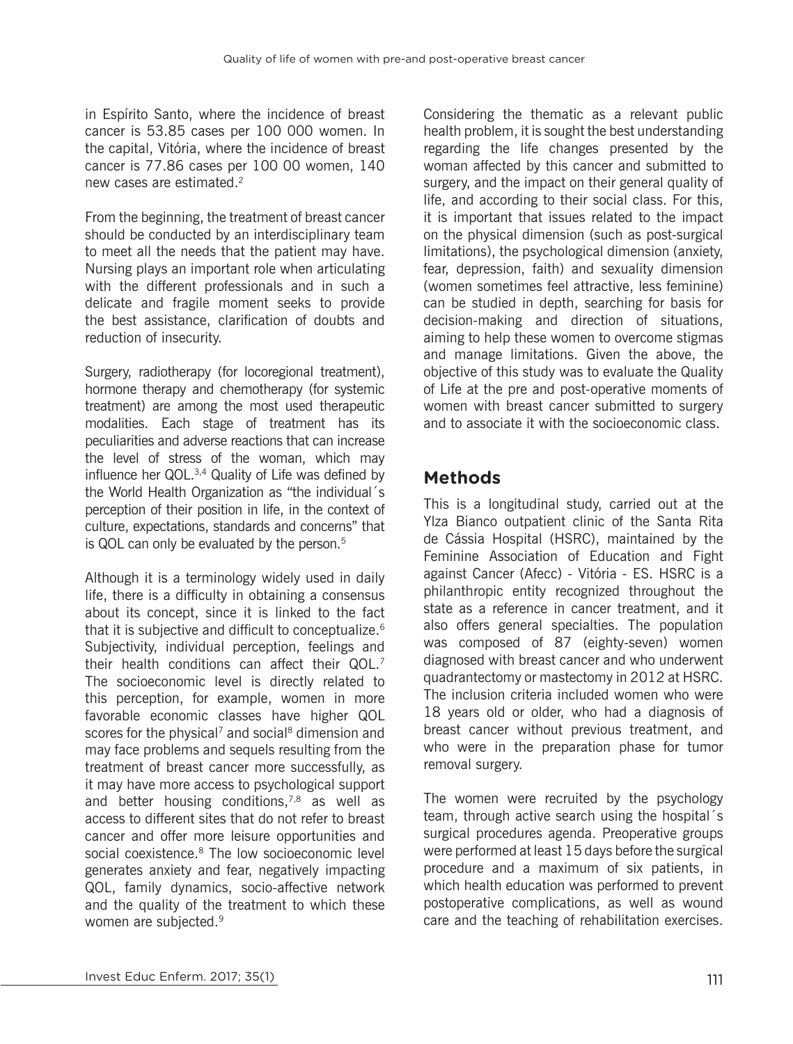in Espírito Santo, where the incidence of breast cancer is 53.85 cases per 100 000 women. In the capital, Vitória, where the incidence of breast cancer is 77.86 cases per 100 00 women, 140 new cases are estimated.2

From the beginning, the treatment of breast cancer should be conducted by an interdisciplinary team to meet all the needs that the patient may have. Nursing plays an important role when articulating with the different professionals and in such a delicate and fragile moment seeks to provide the best assistance, clarification of doubts and reduction of insecurity.

Surgery, radiotherapy (for locoregional treatment), hormone therapy and chemotherapy (for systemic treatment) are among the most used therapeutic modalities. Each stage of treatment has its peculiarities and adverse reactions that can increase the level of stress of the woman, which may influence her  $QOL^{3,4}$  Quality of Life was defined by the World Health Organization as "the individual´s perception of their position in life, in the context of culture, expectations, standards and concerns" that is QOL can only be evaluated by the person.<sup>5</sup>

Although it is a terminology widely used in daily life, there is a difficulty in obtaining a consensus about its concept, since it is linked to the fact that it is subjective and difficult to conceptualize.<sup>6</sup> Subjectivity, individual perception, feelings and their health conditions can affect their QOL.7 The socioeconomic level is directly related to this perception, for example, women in more favorable economic classes have higher QOL scores for the physical<sup>7</sup> and social<sup>8</sup> dimension and may face problems and sequels resulting from the treatment of breast cancer more successfully, as it may have more access to psychological support and better housing conditions, $7,8$  as well as access to different sites that do not refer to breast cancer and offer more leisure opportunities and social coexistence.<sup>8</sup> The low socioeconomic level generates anxiety and fear, negatively impacting QOL, family dynamics, socio-affective network and the quality of the treatment to which these women are subjected.<sup>9</sup>

Considering the thematic as a relevant public health problem, it is sought the best understanding regarding the life changes presented by the woman affected by this cancer and submitted to surgery, and the impact on their general quality of life, and according to their social class. For this, it is important that issues related to the impact on the physical dimension (such as post-surgical limitations), the psychological dimension (anxiety, fear, depression, faith) and sexuality dimension (women sometimes feel attractive, less feminine) can be studied in depth, searching for basis for decision-making and direction of situations, aiming to help these women to overcome stigmas and manage limitations. Given the above, the objective of this study was to evaluate the Quality of Life at the pre and post-operative moments of women with breast cancer submitted to surgery and to associate it with the socioeconomic class.

## **Methods**

This is a longitudinal study, carried out at the Ylza Bianco outpatient clinic of the Santa Rita de Cássia Hospital (HSRC), maintained by the Feminine Association of Education and Fight against Cancer (Afecc) - Vitória - ES. HSRC is a philanthropic entity recognized throughout the state as a reference in cancer treatment, and it also offers general specialties. The population was composed of 87 (eighty-seven) women diagnosed with breast cancer and who underwent quadrantectomy or mastectomy in 2012 at HSRC. The inclusion criteria included women who were 18 years old or older, who had a diagnosis of breast cancer without previous treatment, and who were in the preparation phase for tumor removal surgery.

The women were recruited by the psychology team, through active search using the hospital´s surgical procedures agenda. Preoperative groups were performed at least 15 days before the surgical procedure and a maximum of six patients, in which health education was performed to prevent postoperative complications, as well as wound care and the teaching of rehabilitation exercises.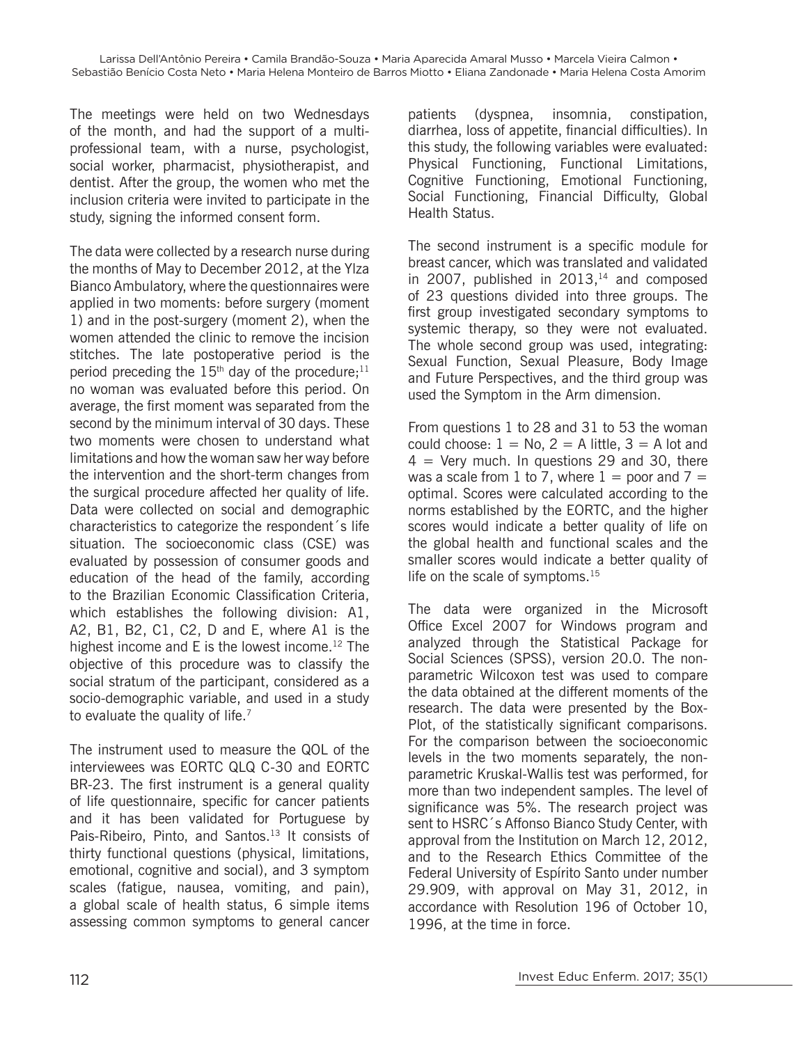The meetings were held on two Wednesdays of the month, and had the support of a multiprofessional team, with a nurse, psychologist, social worker, pharmacist, physiotherapist, and dentist. After the group, the women who met the inclusion criteria were invited to participate in the study, signing the informed consent form.

The data were collected by a research nurse during the months of May to December 2012, at the Ylza Bianco Ambulatory, where the questionnaires were applied in two moments: before surgery (moment 1) and in the post-surgery (moment 2), when the women attended the clinic to remove the incision stitches. The late postoperative period is the period preceding the  $15<sup>th</sup>$  day of the procedure;<sup>11</sup> no woman was evaluated before this period. On average, the first moment was separated from the second by the minimum interval of 30 days. These two moments were chosen to understand what limitations and how the woman saw her way before the intervention and the short-term changes from the surgical procedure affected her quality of life. Data were collected on social and demographic characteristics to categorize the respondent´s life situation. The socioeconomic class (CSE) was evaluated by possession of consumer goods and education of the head of the family, according to the Brazilian Economic Classification Criteria, which establishes the following division: A1, A2, B1, B2, C1, C2, D and E, where A1 is the highest income and E is the lowest income.<sup>12</sup> The objective of this procedure was to classify the social stratum of the participant, considered as a socio-demographic variable, and used in a study to evaluate the quality of life.<sup>7</sup>

The instrument used to measure the QOL of the interviewees was EORTC QLQ C-30 and EORTC BR-23. The first instrument is a general quality of life questionnaire, specific for cancer patients and it has been validated for Portuguese by Pais-Ribeiro, Pinto, and Santos.<sup>13</sup> It consists of thirty functional questions (physical, limitations, emotional, cognitive and social), and 3 symptom scales (fatigue, nausea, vomiting, and pain), a global scale of health status, 6 simple items assessing common symptoms to general cancer patients (dyspnea, insomnia, constipation, diarrhea, loss of appetite, financial difficulties). In this study, the following variables were evaluated: Physical Functioning, Functional Limitations, Cognitive Functioning, Emotional Functioning, Social Functioning, Financial Difficulty, Global Health Status.

The second instrument is a specific module for breast cancer, which was translated and validated in 2007, published in  $2013<sup>14</sup>$  and composed of 23 questions divided into three groups. The first group investigated secondary symptoms to systemic therapy, so they were not evaluated. The whole second group was used, integrating: Sexual Function, Sexual Pleasure, Body Image and Future Perspectives, and the third group was used the Symptom in the Arm dimension.

From questions 1 to 28 and 31 to 53 the woman could choose:  $1 = No$ ,  $2 = A$  little,  $3 = A$  lot and  $4 =$  Very much. In questions 29 and 30, there was a scale from 1 to 7, where  $1 =$  poor and  $7 =$ optimal. Scores were calculated according to the norms established by the EORTC, and the higher scores would indicate a better quality of life on the global health and functional scales and the smaller scores would indicate a better quality of life on the scale of symptoms.<sup>15</sup>

The data were organized in the Microsoft Office Excel 2007 for Windows program and analyzed through the Statistical Package for Social Sciences (SPSS), version 20.0. The nonparametric Wilcoxon test was used to compare the data obtained at the different moments of the research. The data were presented by the Box-Plot, of the statistically significant comparisons. For the comparison between the socioeconomic levels in the two moments separately, the nonparametric Kruskal-Wallis test was performed, for more than two independent samples. The level of significance was 5%. The research project was sent to HSRC´s Affonso Bianco Study Center, with approval from the Institution on March 12, 2012, and to the Research Ethics Committee of the Federal University of Espírito Santo under number 29.909, with approval on May 31, 2012, in accordance with Resolution 196 of October 10, 1996, at the time in force.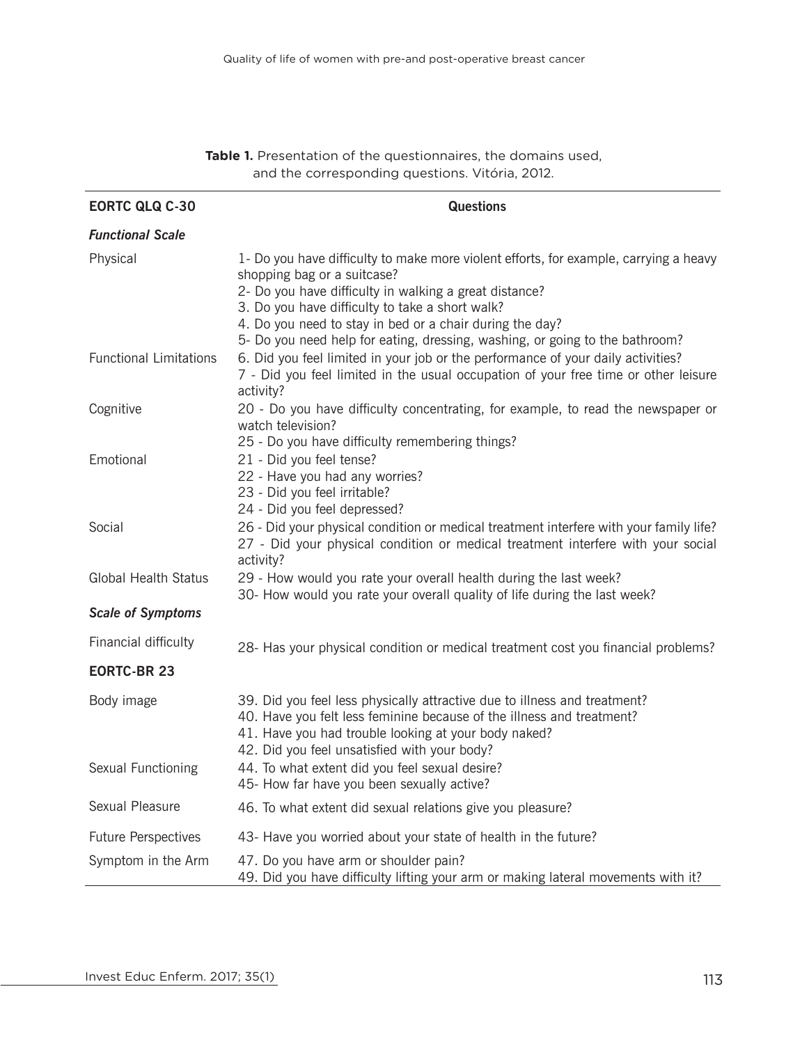| <b>EORTC QLQ C-30</b>         | <b>Questions</b>                                                                                                                                                                                                                                                                                                                                                              |  |  |  |  |  |
|-------------------------------|-------------------------------------------------------------------------------------------------------------------------------------------------------------------------------------------------------------------------------------------------------------------------------------------------------------------------------------------------------------------------------|--|--|--|--|--|
| <b>Functional Scale</b>       |                                                                                                                                                                                                                                                                                                                                                                               |  |  |  |  |  |
| Physical                      | 1- Do you have difficulty to make more violent efforts, for example, carrying a heavy<br>shopping bag or a suitcase?<br>2- Do you have difficulty in walking a great distance?<br>3. Do you have difficulty to take a short walk?<br>4. Do you need to stay in bed or a chair during the day?<br>5- Do you need help for eating, dressing, washing, or going to the bathroom? |  |  |  |  |  |
| <b>Functional Limitations</b> | 6. Did you feel limited in your job or the performance of your daily activities?<br>7 - Did you feel limited in the usual occupation of your free time or other leisure<br>activity?                                                                                                                                                                                          |  |  |  |  |  |
| Cognitive                     | 20 - Do you have difficulty concentrating, for example, to read the newspaper or<br>watch television?<br>25 - Do you have difficulty remembering things?                                                                                                                                                                                                                      |  |  |  |  |  |
| Emotional                     | 21 - Did you feel tense?<br>22 - Have you had any worries?<br>23 - Did you feel irritable?<br>24 - Did you feel depressed?                                                                                                                                                                                                                                                    |  |  |  |  |  |
| Social                        | 26 - Did your physical condition or medical treatment interfere with your family life?<br>27 - Did your physical condition or medical treatment interfere with your social<br>activity?                                                                                                                                                                                       |  |  |  |  |  |
| <b>Global Health Status</b>   | 29 - How would you rate your overall health during the last week?<br>30- How would you rate your overall quality of life during the last week?                                                                                                                                                                                                                                |  |  |  |  |  |
| <b>Scale of Symptoms</b>      |                                                                                                                                                                                                                                                                                                                                                                               |  |  |  |  |  |
| Financial difficulty          | 28- Has your physical condition or medical treatment cost you financial problems?                                                                                                                                                                                                                                                                                             |  |  |  |  |  |
| <b>EORTC-BR 23</b>            |                                                                                                                                                                                                                                                                                                                                                                               |  |  |  |  |  |
| Body image                    | 39. Did you feel less physically attractive due to illness and treatment?<br>40. Have you felt less feminine because of the illness and treatment?<br>41. Have you had trouble looking at your body naked?<br>42. Did you feel unsatisfied with your body?                                                                                                                    |  |  |  |  |  |
| Sexual Functioning            | 44. To what extent did you feel sexual desire?<br>45- How far have you been sexually active?                                                                                                                                                                                                                                                                                  |  |  |  |  |  |
| Sexual Pleasure               | 46. To what extent did sexual relations give you pleasure?                                                                                                                                                                                                                                                                                                                    |  |  |  |  |  |
| <b>Future Perspectives</b>    | 43- Have you worried about your state of health in the future?                                                                                                                                                                                                                                                                                                                |  |  |  |  |  |
| Symptom in the Arm            | 47. Do you have arm or shoulder pain?<br>49. Did you have difficulty lifting your arm or making lateral movements with it?                                                                                                                                                                                                                                                    |  |  |  |  |  |

Table 1. Presentation of the questionnaires, the domains used, and the corresponding questions. Vitória, 2012.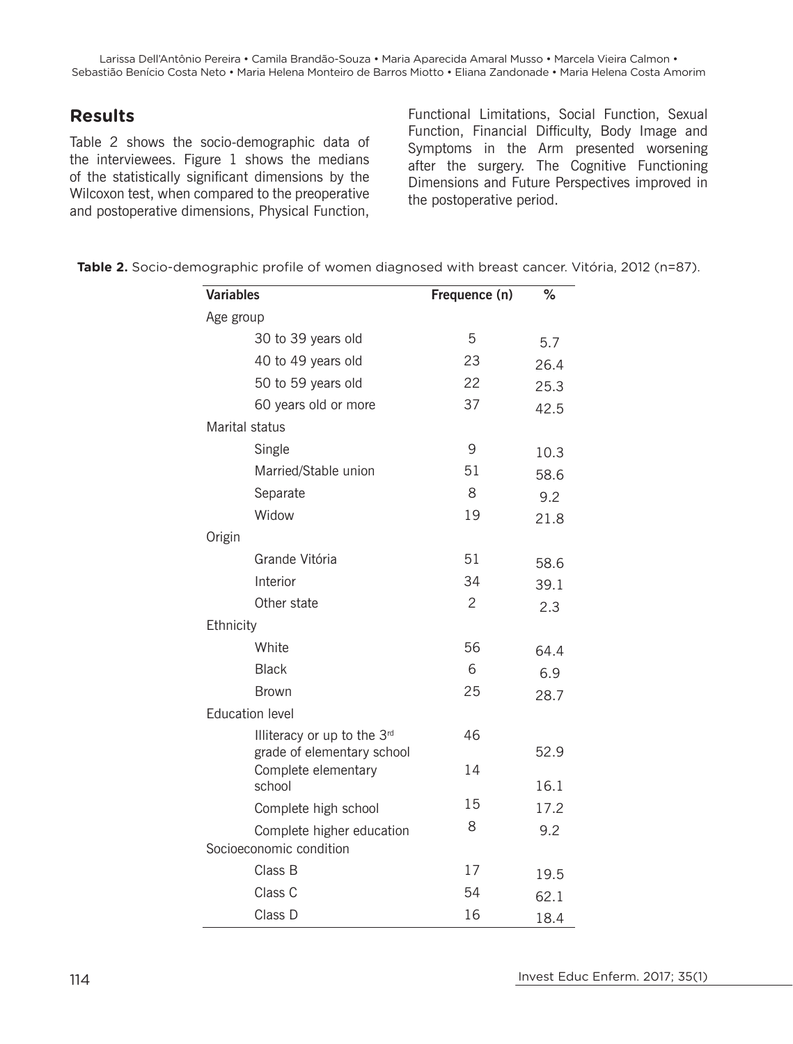## **Results**

Table 2 shows the socio-demographic data of the interviewees. Figure 1 shows the medians of the statistically significant dimensions by the Wilcoxon test, when compared to the preoperative and postoperative dimensions, Physical Function,

Functional Limitations, Social Function, Sexual Function, Financial Difficulty, Body Image and Symptoms in the Arm presented worsening after the surgery. The Cognitive Functioning Dimensions and Future Perspectives improved in the postoperative period.

| <b>Variables</b>              | Frequence (n)  | ℅    |  |
|-------------------------------|----------------|------|--|
| Age group                     |                |      |  |
| 30 to 39 years old            | 5              | 5.7  |  |
| 40 to 49 years old            | 23             | 26.4 |  |
| 50 to 59 years old            | 22             | 25.3 |  |
| 60 years old or more          | 37             | 42.5 |  |
| Marital status                |                |      |  |
| Single                        | 9              | 10.3 |  |
| Married/Stable union          | 51             | 58.6 |  |
| Separate                      | 8              | 9.2  |  |
| Widow                         | 19             | 21.8 |  |
| Origin                        |                |      |  |
| Grande Vitória                | 51             | 58.6 |  |
| Interior                      | 34             | 39.1 |  |
| Other state                   | $\overline{2}$ | 2.3  |  |
| Ethnicity                     |                |      |  |
| White                         | 56             | 64.4 |  |
| <b>Black</b>                  | 6              | 6.9  |  |
| <b>Brown</b>                  | 25             | 28.7 |  |
| <b>Education level</b>        |                |      |  |
| Illiteracy or up to the 3rd   | 46             |      |  |
| grade of elementary school    |                | 52.9 |  |
| Complete elementary<br>school | 14             | 16.1 |  |
| Complete high school          | 15             | 17.2 |  |
| Complete higher education     | 8              | 9.2  |  |
| Socioeconomic condition       |                |      |  |
| Class B                       | 17             | 19.5 |  |
| Class C                       | 54             | 62.1 |  |
| Class D                       | 16             | 18.4 |  |

**Table 2.** Socio-demographic profile of women diagnosed with breast cancer. Vitória, 2012 (n=87).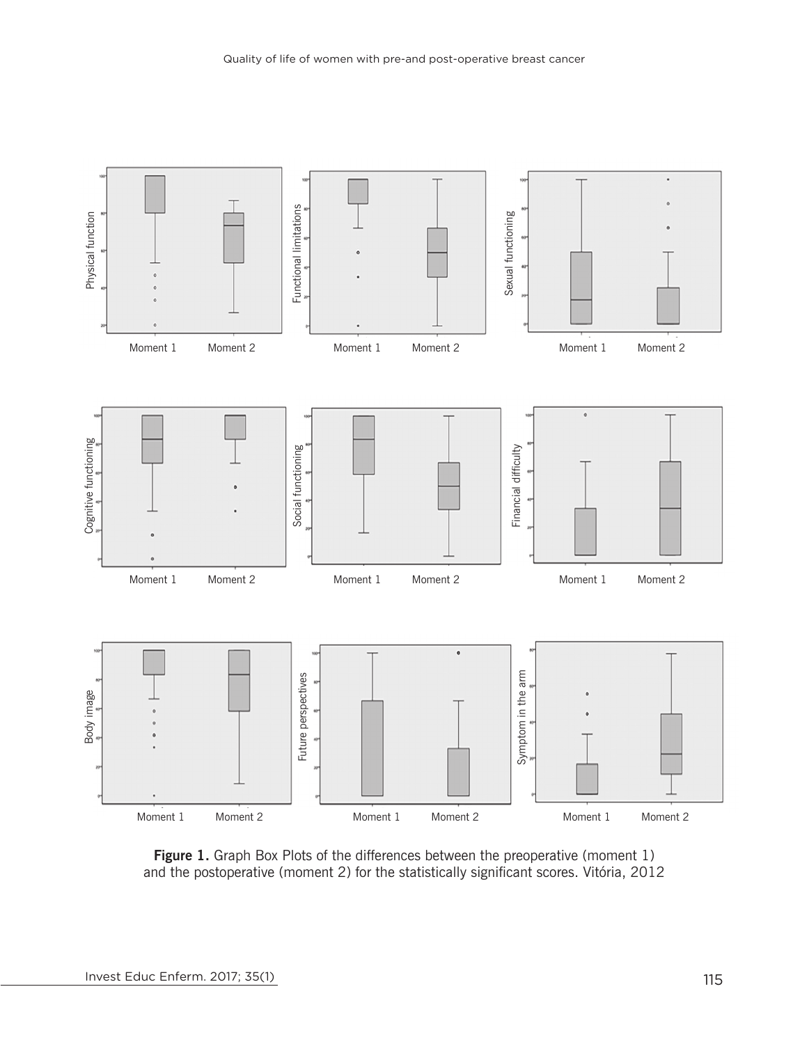

**Figure 1.** Graph Box Plots of the differences between the preoperative (moment 1) and the postoperative (moment 2) for the statistically significant scores. Vitória, 2012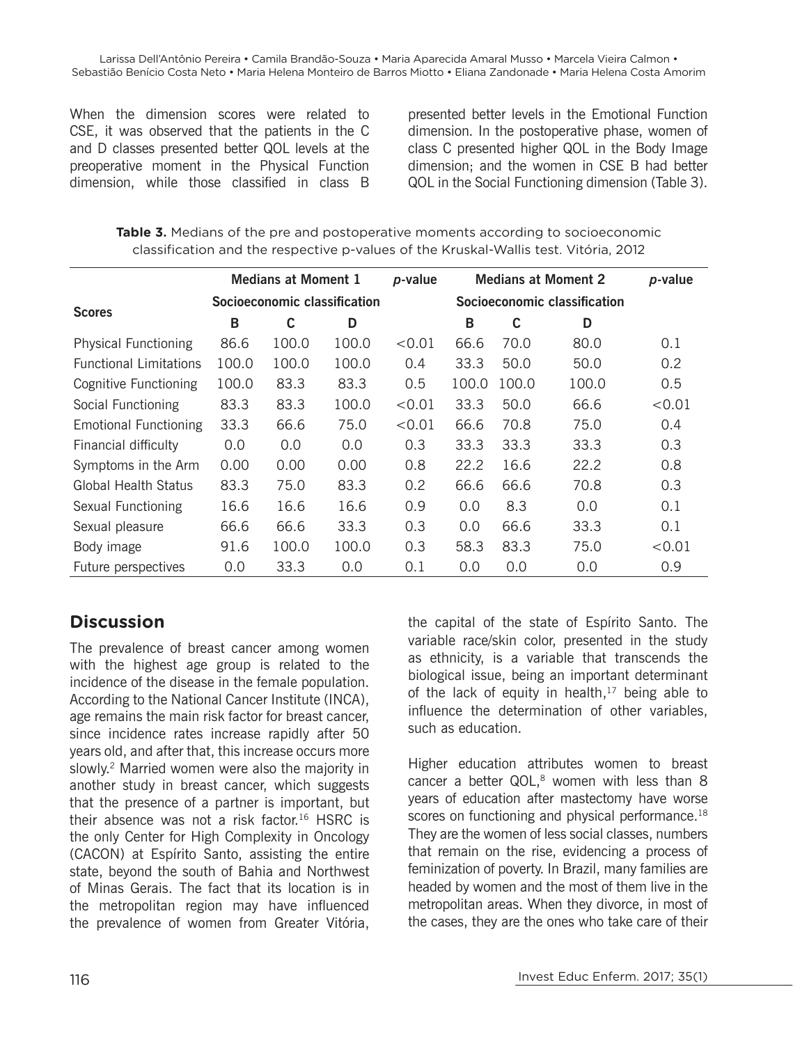When the dimension scores were related to CSE, it was observed that the patients in the C and D classes presented better QOL levels at the preoperative moment in the Physical Function dimension, while those classified in class B presented better levels in the Emotional Function dimension. In the postoperative phase, women of class C presented higher QOL in the Body Image dimension; and the women in CSE B had better QOL in the Social Functioning dimension (Table 3).

**Table 3.** Medians of the pre and postoperative moments according to socioeconomic classification and the respective p-values of the Kruskal-Wallis test. Vitória, 2012

|                               | <b>Medians at Moment 1</b>   |       |       | $p$ -value | <b>Medians at Moment 2</b>   |       |       | $p$ -value |
|-------------------------------|------------------------------|-------|-------|------------|------------------------------|-------|-------|------------|
| <b>Scores</b>                 | Socioeconomic classification |       |       |            | Socioeconomic classification |       |       |            |
|                               | B                            | C     | D     |            | B                            | C     | D     |            |
| <b>Physical Functioning</b>   | 86.6                         | 100.0 | 100.0 | < 0.01     | 66.6                         | 70.0  | 80.0  | 0.1        |
| <b>Functional Limitations</b> | 100.0                        | 100.0 | 100.0 | 0.4        | 33.3                         | 50.0  | 50.0  | 0.2        |
| Cognitive Functioning         | 100.0                        | 83.3  | 83.3  | 0.5        | 100.0                        | 100.0 | 100.0 | 0.5        |
| Social Functioning            | 83.3                         | 83.3  | 100.0 | < 0.01     | 33.3                         | 50.0  | 66.6  | < 0.01     |
| <b>Emotional Functioning</b>  | 33.3                         | 66.6  | 75.0  | < 0.01     | 66.6                         | 70.8  | 75.0  | 0.4        |
| Financial difficulty          | 0.0                          | 0.0   | 0.0   | 0.3        | 33.3                         | 33.3  | 33.3  | 0.3        |
| Symptoms in the Arm           | 0.00                         | 0.00  | 0.00  | 0.8        | 22.2                         | 16.6  | 22.2  | 0.8        |
| Global Health Status          | 83.3                         | 75.0  | 83.3  | 0.2        | 66.6                         | 66.6  | 70.8  | 0.3        |
| Sexual Functioning            | 16.6                         | 16.6  | 16.6  | 0.9        | 0.0                          | 8.3   | 0.0   | 0.1        |
| Sexual pleasure               | 66.6                         | 66.6  | 33.3  | 0.3        | 0.0                          | 66.6  | 33.3  | 0.1        |
| Body image                    | 91.6                         | 100.0 | 100.0 | 0.3        | 58.3                         | 83.3  | 75.0  | < 0.01     |
| Future perspectives           | 0.0                          | 33.3  | 0.0   | 0.1        | 0.0                          | 0.0   | 0.0   | 0.9        |

# **Discussion**

The prevalence of breast cancer among women with the highest age group is related to the incidence of the disease in the female population. According to the National Cancer Institute (INCA), age remains the main risk factor for breast cancer, since incidence rates increase rapidly after 50 years old, and after that, this increase occurs more slowly.<sup>2</sup> Married women were also the majority in another study in breast cancer, which suggests that the presence of a partner is important, but their absence was not a risk factor.<sup>16</sup> HSRC is the only Center for High Complexity in Oncology (CACON) at Espírito Santo, assisting the entire state, beyond the south of Bahia and Northwest of Minas Gerais. The fact that its location is in the metropolitan region may have influenced the prevalence of women from Greater Vitória, the capital of the state of Espírito Santo. The variable race/skin color, presented in the study as ethnicity, is a variable that transcends the biological issue, being an important determinant of the lack of equity in health,  $17$  being able to influence the determination of other variables, such as education.

Higher education attributes women to breast cancer a better QOL,<sup>8</sup> women with less than 8 years of education after mastectomy have worse scores on functioning and physical performance.<sup>18</sup> They are the women of less social classes, numbers that remain on the rise, evidencing a process of feminization of poverty. In Brazil, many families are headed by women and the most of them live in the metropolitan areas. When they divorce, in most of the cases, they are the ones who take care of their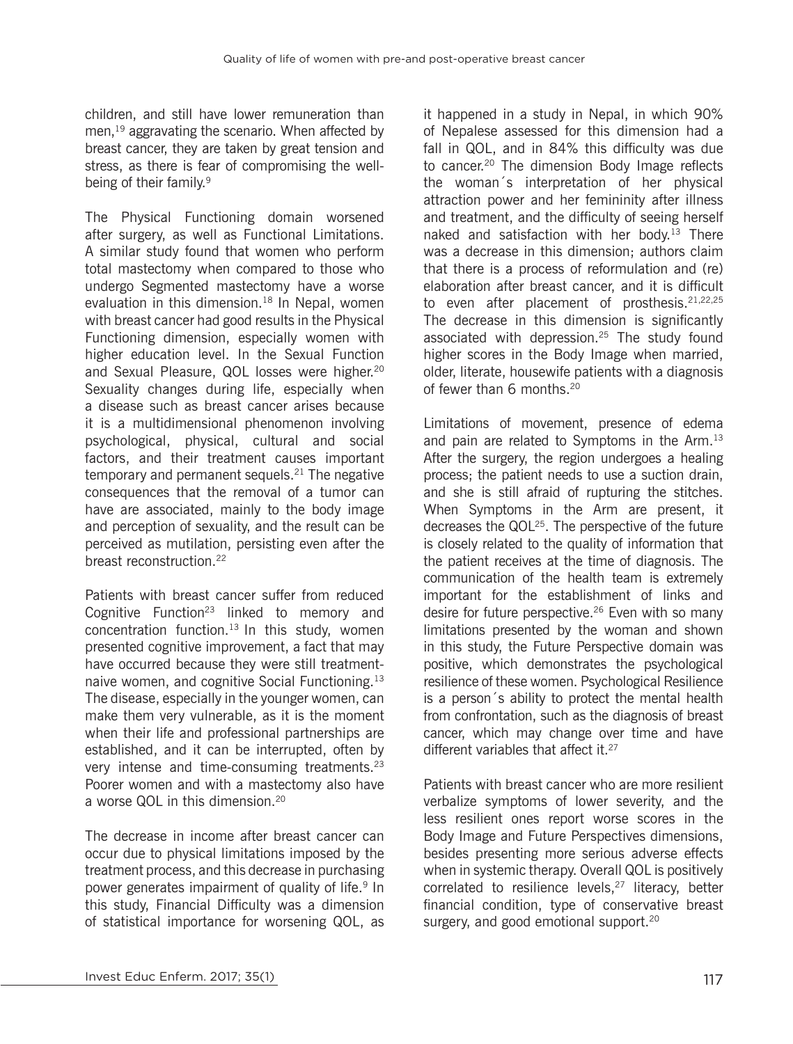children, and still have lower remuneration than men.<sup>19</sup> aggravating the scenario. When affected by breast cancer, they are taken by great tension and stress, as there is fear of compromising the wellbeing of their family.<sup>9</sup>

The Physical Functioning domain worsened after surgery, as well as Functional Limitations. A similar study found that women who perform total mastectomy when compared to those who undergo Segmented mastectomy have a worse evaluation in this dimension.<sup>18</sup> In Nepal, women with breast cancer had good results in the Physical Functioning dimension, especially women with higher education level. In the Sexual Function and Sexual Pleasure, QOL losses were higher.<sup>20</sup> Sexuality changes during life, especially when a disease such as breast cancer arises because it is a multidimensional phenomenon involving psychological, physical, cultural and social factors, and their treatment causes important temporary and permanent sequels.<sup>21</sup> The negative consequences that the removal of a tumor can have are associated, mainly to the body image and perception of sexuality, and the result can be perceived as mutilation, persisting even after the breast reconstruction.22

Patients with breast cancer suffer from reduced Cognitive Function<sup>23</sup> linked to memory and concentration function.13 In this study, women presented cognitive improvement, a fact that may have occurred because they were still treatmentnaive women, and cognitive Social Functioning.<sup>13</sup> The disease, especially in the younger women, can make them very vulnerable, as it is the moment when their life and professional partnerships are established, and it can be interrupted, often by very intense and time-consuming treatments.<sup>23</sup> Poorer women and with a mastectomy also have a worse QOL in this dimension.20

The decrease in income after breast cancer can occur due to physical limitations imposed by the treatment process, and this decrease in purchasing power generates impairment of quality of life.<sup>9</sup> In this study, Financial Difficulty was a dimension of statistical importance for worsening QOL, as it happened in a study in Nepal, in which 90% of Nepalese assessed for this dimension had a fall in QOL, and in 84% this difficulty was due to cancer.20 The dimension Body Image reflects the woman´s interpretation of her physical attraction power and her femininity after illness and treatment, and the difficulty of seeing herself naked and satisfaction with her body.<sup>13</sup> There was a decrease in this dimension; authors claim that there is a process of reformulation and (re) elaboration after breast cancer, and it is difficult to even after placement of prosthesis. $21,22,25$ The decrease in this dimension is significantly associated with depression.25 The study found higher scores in the Body Image when married, older, literate, housewife patients with a diagnosis of fewer than 6 months.20

Limitations of movement, presence of edema and pain are related to Symptoms in the Arm.<sup>13</sup> After the surgery, the region undergoes a healing process; the patient needs to use a suction drain, and she is still afraid of rupturing the stitches. When Symptoms in the Arm are present, it decreases the QOL25. The perspective of the future is closely related to the quality of information that the patient receives at the time of diagnosis. The communication of the health team is extremely important for the establishment of links and desire for future perspective.<sup>26</sup> Even with so many limitations presented by the woman and shown in this study, the Future Perspective domain was positive, which demonstrates the psychological resilience of these women. Psychological Resilience is a person´s ability to protect the mental health from confrontation, such as the diagnosis of breast cancer, which may change over time and have different variables that affect it.27

Patients with breast cancer who are more resilient verbalize symptoms of lower severity, and the less resilient ones report worse scores in the Body Image and Future Perspectives dimensions, besides presenting more serious adverse effects when in systemic therapy. Overall QOL is positively correlated to resilience levels,<sup>27</sup> literacy, better financial condition, type of conservative breast surgery, and good emotional support.<sup>20</sup>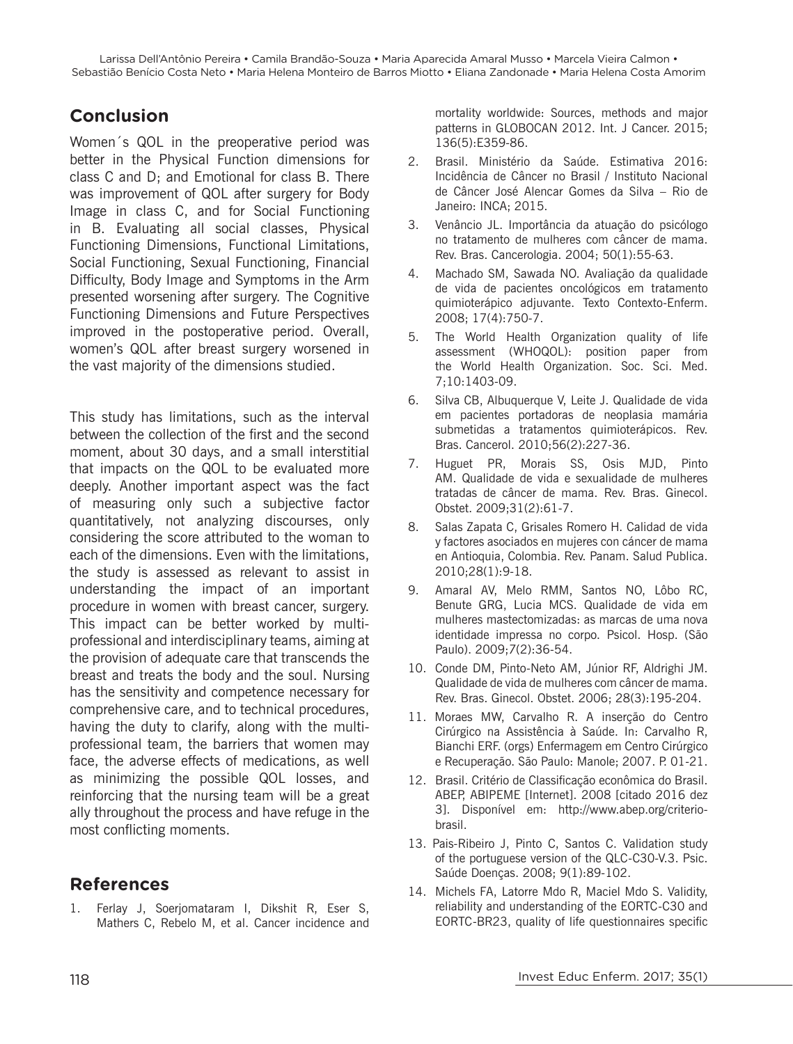Larissa Dell'Antônio Pereira • Camila Brandão-Souza • Maria Aparecida Amaral Musso • Marcela Vieira Calmon • Sebastião Benício Costa Neto • Maria Helena Monteiro de Barros Miotto • Eliana Zandonade • Maria Helena Costa Amorim

### **Conclusion**

Women´s QOL in the preoperative period was better in the Physical Function dimensions for class C and D; and Emotional for class B. There was improvement of QOL after surgery for Body Image in class C, and for Social Functioning in B. Evaluating all social classes, Physical Functioning Dimensions, Functional Limitations, Social Functioning, Sexual Functioning, Financial Difficulty, Body Image and Symptoms in the Arm presented worsening after surgery. The Cognitive Functioning Dimensions and Future Perspectives improved in the postoperative period. Overall, women's QOL after breast surgery worsened in the vast majority of the dimensions studied.

This study has limitations, such as the interval between the collection of the first and the second moment, about 30 days, and a small interstitial that impacts on the QOL to be evaluated more deeply. Another important aspect was the fact of measuring only such a subjective factor quantitatively, not analyzing discourses, only considering the score attributed to the woman to each of the dimensions. Even with the limitations, the study is assessed as relevant to assist in understanding the impact of an important procedure in women with breast cancer, surgery. This impact can be better worked by multiprofessional and interdisciplinary teams, aiming at the provision of adequate care that transcends the breast and treats the body and the soul. Nursing has the sensitivity and competence necessary for comprehensive care, and to technical procedures, having the duty to clarify, along with the multiprofessional team, the barriers that women may face, the adverse effects of medications, as well as minimizing the possible QOL losses, and reinforcing that the nursing team will be a great ally throughout the process and have refuge in the most conflicting moments.

### **References**

1. Ferlay J, Soerjomataram I, Dikshit R, Eser S, Mathers C, Rebelo M, et al. Cancer incidence and mortality worldwide: Sources, methods and major patterns in GLOBOCAN 2012. Int. J Cancer. 2015; 136(5):E359-86.

- 2. Brasil. Ministério da Saúde. Estimativa 2016: Incidência de Câncer no Brasil / Instituto Nacional de Câncer José Alencar Gomes da Silva – Rio de Janeiro: INCA; 2015.
- 3. Venâncio JL. Importância da atuação do psicólogo no tratamento de mulheres com câncer de mama. Rev. Bras. Cancerologia. 2004; 50(1):55-63.
- 4. Machado SM, Sawada NO. Avaliação da qualidade de vida de pacientes oncológicos em tratamento quimioterápico adjuvante. Texto Contexto-Enferm. 2008; 17(4):750-7.
- 5. The World Health Organization quality of life assessment (WHOQOL): position paper from the World Health Organization. Soc. Sci. Med. 7;10:1403-09.
- 6. Silva CB, Albuquerque V, Leite J. Qualidade de vida em pacientes portadoras de neoplasia mamária submetidas a tratamentos quimioterápicos. Rev. Bras. Cancerol. 2010;56(2):227-36.
- 7. Huguet PR, Morais SS, Osis MJD, Pinto AM. Qualidade de vida e sexualidade de mulheres tratadas de câncer de mama. Rev. Bras. Ginecol. Obstet. 2009;31(2):61-7.
- 8. Salas Zapata C, Grisales Romero H. Calidad de vida y factores asociados en mujeres con cáncer de mama en Antioquia, Colombia. Rev. Panam. Salud Publica. 2010;28(1):9-18.
- 9. Amaral AV, Melo RMM, Santos NO, Lôbo RC, Benute GRG, Lucia MCS. Qualidade de vida em mulheres mastectomizadas: as marcas de uma nova identidade impressa no corpo. Psicol. Hosp. (São Paulo). 2009;*7*(2):36-54.
- 10. Conde DM, Pinto-Neto AM, Júnior RF, Aldrighi JM. Qualidade de vida de mulheres com câncer de mama. Rev. Bras. Ginecol. Obstet. 2006; 28(3):195-204.
- 11. Moraes MW, Carvalho R. A inserção do Centro Cirúrgico na Assistência à Saúde. In: Carvalho R, Bianchi ERF. (orgs) Enfermagem em Centro Cirúrgico e Recuperação. São Paulo: Manole; 2007. P. 01-21.
- 12. Brasil. Critério de Classificação econômica do Brasil. ABEP, ABIPEME [Internet]. 2008 [citado 2016 dez 3]. Disponível em: http://www.abep.org/criteriobrasil.
- 13. Pais-Ribeiro J, Pinto C, Santos C. Validation study of the portuguese version of the QLC-C30-V.3. Psic. Saúde Doenças. 2008; 9(1):89-102.
- 14. Michels FA, Latorre Mdo R, Maciel Mdo S. Validity, reliability and understanding of the EORTC-C30 and EORTC-BR23, quality of life questionnaires specific